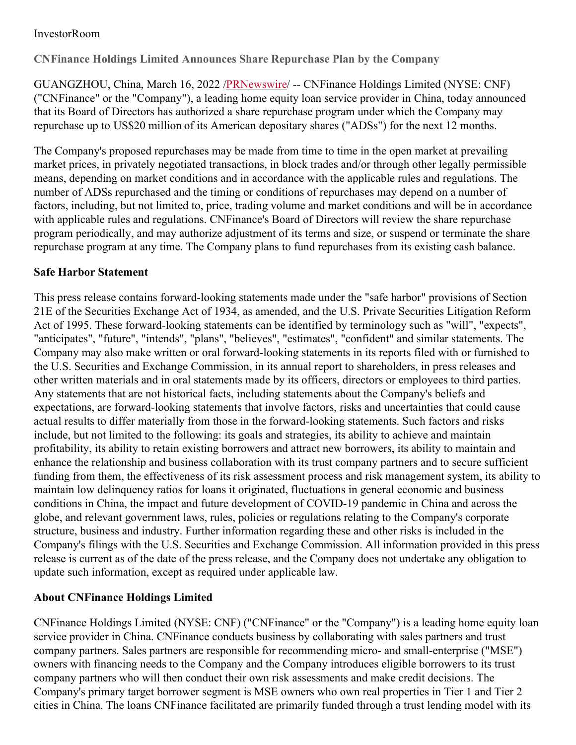## InvestorRoom

**CNFinance Holdings Limited Announces Share Repurchase Plan by the Company**

GUANGZHOU, China, March 16, 2022 [/PRNewswire](http://www.prnewswire.com/)/ -- CNFinance Holdings Limited (NYSE: CNF) ("CNFinance" or the "Company"), a leading home equity loan service provider in China, today announced that its Board of Directors has authorized a share repurchase program under which the Company may repurchase up to US\$20 million of its American depositary shares ("ADSs") for the next 12 months.

The Company's proposed repurchases may be made from time to time in the open market at prevailing market prices, in privately negotiated transactions, in block trades and/or through other legally permissible means, depending on market conditions and in accordance with the applicable rules and regulations. The number of ADSs repurchased and the timing or conditions of repurchases may depend on a number of factors, including, but not limited to, price, trading volume and market conditions and will be in accordance with applicable rules and regulations. CNFinance's Board of Directors will review the share repurchase program periodically, and may authorize adjustment of its terms and size, or suspend or terminate the share repurchase program at any time. The Company plans to fund repurchases from its existing cash balance.

## **Safe Harbor Statement**

This press release contains forward-looking statements made under the "safe harbor" provisions of Section 21E of the Securities Exchange Act of 1934, as amended, and the U.S. Private Securities Litigation Reform Act of 1995. These forward-looking statements can be identified by terminology such as "will", "expects", "anticipates", "future", "intends", "plans", "believes", "estimates", "confident" and similar statements. The Company may also make written or oral forward-looking statements in its reports filed with or furnished to the U.S. Securities and Exchange Commission, in its annual report to shareholders, in press releases and other written materials and in oral statements made by its officers, directors or employees to third parties. Any statements that are not historical facts, including statements about the Company's beliefs and expectations, are forward-looking statements that involve factors, risks and uncertainties that could cause actual results to differ materially from those in the forward-looking statements. Such factors and risks include, but not limited to the following: its goals and strategies, its ability to achieve and maintain profitability, its ability to retain existing borrowers and attract new borrowers, its ability to maintain and enhance the relationship and business collaboration with its trust company partners and to secure sufficient funding from them, the effectiveness of its risk assessment process and risk management system, its ability to maintain low delinquency ratios for loans it originated, fluctuations in general economic and business conditions in China, the impact and future development of COVID-19 pandemic in China and across the globe, and relevant government laws, rules, policies or regulations relating to the Company's corporate structure, business and industry. Further information regarding these and other risks is included in the Company's filings with the U.S. Securities and Exchange Commission. All information provided in this press release is current as of the date of the press release, and the Company does not undertake any obligation to update such information, except as required under applicable law.

## **About CNFinance Holdings Limited**

CNFinance Holdings Limited (NYSE: CNF) ("CNFinance" or the "Company") is a leading home equity loan service provider in China. CNFinance conducts business by collaborating with sales partners and trust company partners. Sales partners are responsible for recommending micro- and small-enterprise ("MSE") owners with financing needs to the Company and the Company introduces eligible borrowers to its trust company partners who will then conduct their own risk assessments and make credit decisions. The Company's primary target borrower segment is MSE owners who own real properties in Tier 1 and Tier 2 cities in China. The loans CNFinance facilitated are primarily funded through a trust lending model with its